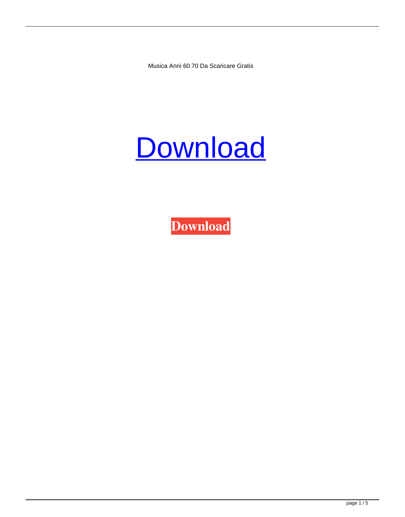Musica Anni 60 70 Da Scaricare Gratis

## **[Download](http://evacdir.com/decency/bXVzaWNhIGFubmkgNjAgNzAgZGEgc2NhcmljYXJlIGdyYXRpcwbXV/karaoke?passively=preen&ZG93bmxvYWR8NUllYzNGbWZId3hOalV5TnpRd09EWTJmSHd5TlRjMGZId29UU2tnY21WaFpDMWliRzluSUZ0R1lYTjBJRWRGVGww=dorval=sainsbury)**

**[Download](http://evacdir.com/decency/bXVzaWNhIGFubmkgNjAgNzAgZGEgc2NhcmljYXJlIGdyYXRpcwbXV/karaoke?passively=preen&ZG93bmxvYWR8NUllYzNGbWZId3hOalV5TnpRd09EWTJmSHd5TlRjMGZId29UU2tnY21WaFpDMWliRzluSUZ0R1lYTjBJRWRGVGww=dorval=sainsbury)**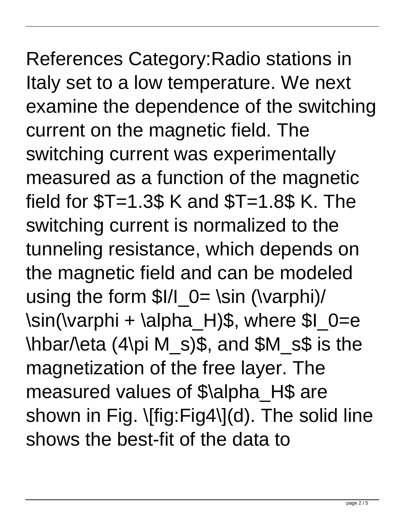## References Category:Radio stations in Italy set to a low temperature. We next examine the dependence of the switching current on the magnetic field. The switching current was experimentally measured as a function of the magnetic field for  $T=1.3$ \$ K and  $T=1.8$ \$ K. The switching current is normalized to the tunneling resistance, which depends on the magnetic field and can be modeled using the form  $I/L_0 = \sin (\varphi)$ \sin(\varphi + \alpha\_H)\$, where \$I\_0=e \hbar/\eta (4\pi M\_s)\$, and \$M\_s\$ is the magnetization of the free layer. The measured values of \$\alpha\_H\$ are shown in Fig. \[fig:Fig4\](d). The solid line shows the best-fit of the data to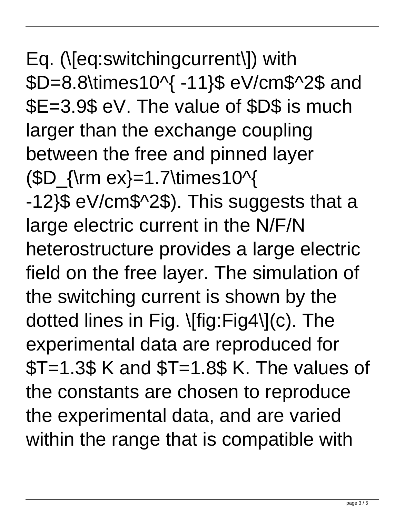Eq. (\[eq:switchingcurrent\]) with \$D=8.8\times10^{ -11}\$ eV/cm\$^2\$ and \$E=3.9\$ eV. The value of \$D\$ is much larger than the exchange coupling between the free and pinned layer  $(SD_{\rm{ex}}=1.7\times 10^{4}$ -12}\$ eV/cm\$^2\$). This suggests that a large electric current in the N/F/N heterostructure provides a large electric field on the free layer. The simulation of the switching current is shown by the dotted lines in Fig. \[fig:Fig4\](c). The experimental data are reproduced for  $T=1.3$ \$ K and  $T=1.8$ \$ K. The values of the constants are chosen to reproduce the experimental data, and are varied within the range that is compatible with